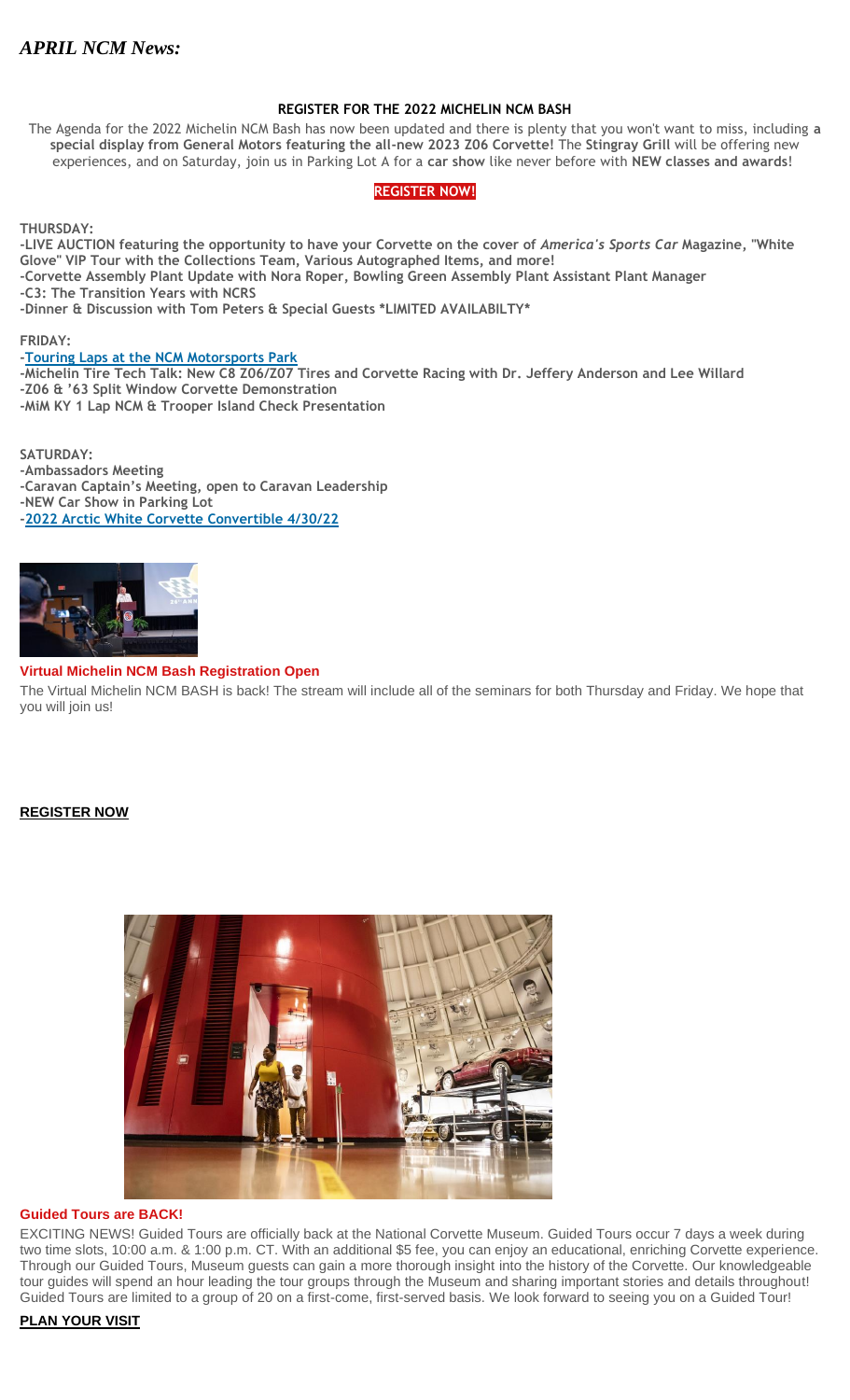# *APRIL NCM News:*

# **REGISTER FOR THE 2022 MICHELIN NCM BASH**

The Agenda for the 2022 Michelin NCM Bash has now been updated and there is plenty that you won't want to miss, including **a special display from General Motors featuring the all-new 2023 Z06 Corvette!** The **Stingray Grill** will be offering new experiences, and on Saturday, join us in Parking Lot A for a **car show** like never before with **NEW classes and awards**!

# **[REGISTER](http://portal.criticalimpact.com/go/1/62a0d4b8606b177309e5cb74f1f037a9/25995/0948606b7e3f38623947229f28c3afba/acf60ab59db9dcffa6473c7b9fa19141/25995) NOW!**

**THURSDAY:**

**-LIVE AUCTION featuring the opportunity to have your Corvette on the cover of** *America's Sports Car* **Magazine, "White Glove" VIP Tour with the Collections Team, Various Autographed Items, and more! -Corvette Assembly Plant Update with Nora Roper, Bowling Green Assembly Plant Assistant Plant Manager -C3: The Transition Years with NCRS -Dinner & Discussion with Tom Peters & Special Guests \*LIMITED AVAILABILTY\***

**FRIDAY:**

# **[-Touring Laps at the NCM Motorsports Park](http://portal.criticalimpact.com/go/1/62a0d4b8606b177309e5cb74f1f037a9/25995/0948606b7e3f38623947229f28c3afba/31d8090e55c6ff6fa6473c7b9fa19141/25995)**

**-Michelin Tire Tech Talk: New C8 Z06/Z07 Tires and Corvette Racing with Dr. Jeffery Anderson and Lee Willard -Z06 & '63 Split Window Corvette Demonstration -MiM KY 1 Lap NCM & Trooper Island Check Presentation**

**SATURDAY: -Ambassadors Meeting -Caravan Captain's Meeting, open to Caravan Leadership -NEW Car Show in Parking Lot [-2022 Arctic White Corvette Convertible 4/30/22](http://portal.criticalimpact.com/go/1/62a0d4b8606b177309e5cb74f1f037a9/25995/0948606b7e3f38623947229f28c3afba/6a78ad8bd9359db6a6473c7b9fa19141/25995)**



# **Virtual Michelin NCM Bash Registration Open**

The Virtual Michelin NCM BASH is back! The stream will include all of the seminars for both Thursday and Friday. We hope that you will join us!

# **[REGISTER NOW](http://portal.criticalimpact.com/go/1/62a0d4b8606b177309e5cb74f1f037a9/25995/07915840453d839c3947229f28c3afba/2647c48f60856c8ba6473c7b9fa19141/25995)**



# **Guided Tours are BACK!**

EXCITING NEWS! Guided Tours are officially back at the National Corvette Museum. Guided Tours occur 7 days a week during two time slots, 10:00 a.m. & 1:00 p.m. CT. With an additional \$5 fee, you can enjoy an educational, enriching Corvette experience. Through our Guided Tours, Museum guests can gain a more thorough insight into the history of the Corvette. Our knowledgeable tour guides will spend an hour leading the tour groups through the Museum and sharing important stories and details throughout! Guided Tours are limited to a group of 20 on a first-come, first-served basis. We look forward to seeing you on a Guided Tour!

**[PLAN YOUR VISIT](http://portal.criticalimpact.com/go/1/62a0d4b8606b177309e5cb74f1f037a9/25995/07915840453d839c3947229f28c3afba/38cd9e2edf2602b7a6473c7b9fa19141/25995)**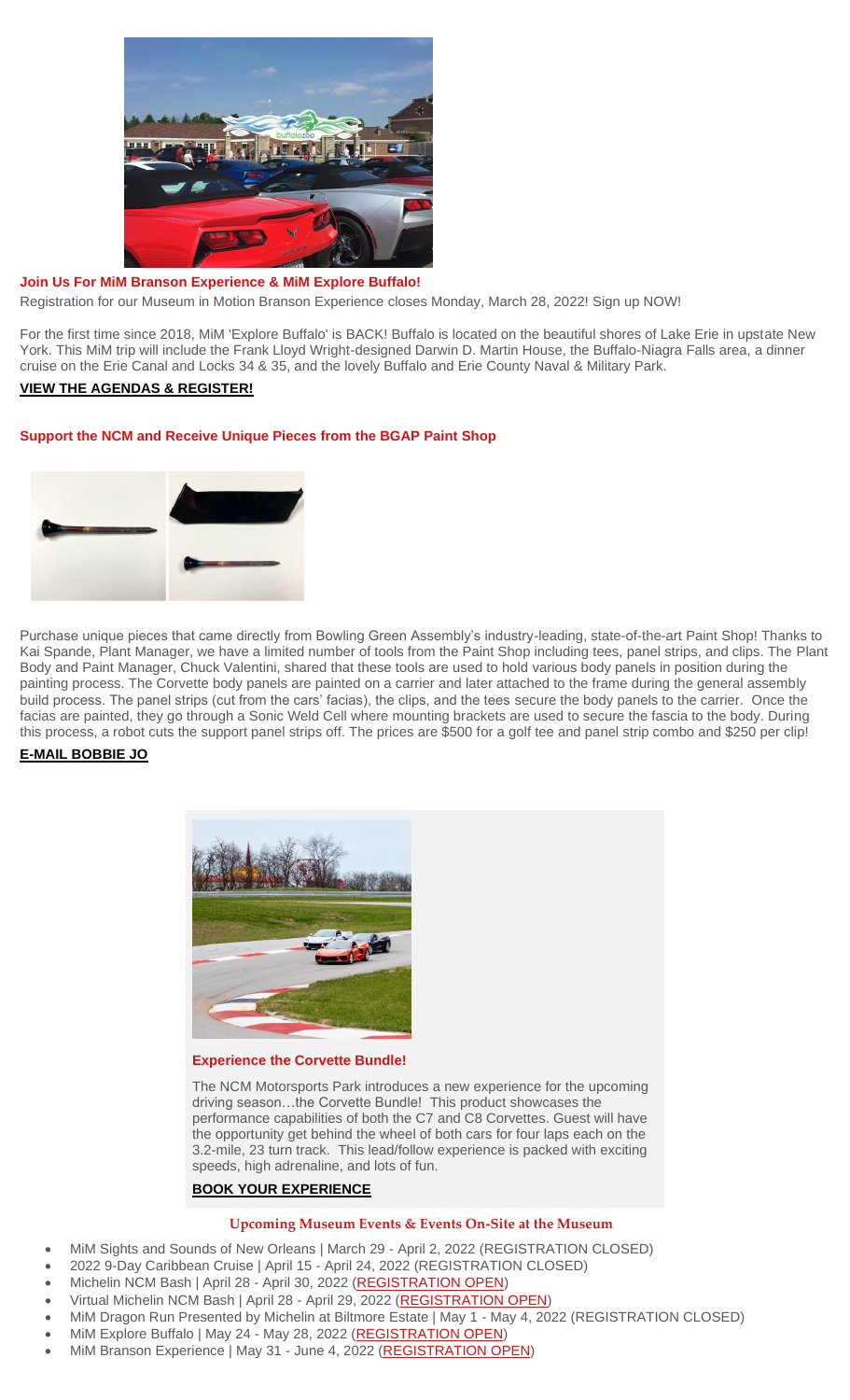

#### **Join Us For MiM Branson Experience & MiM Explore Buffalo!**

Registration for our Museum in Motion Branson Experience closes Monday, March 28, 2022! Sign up NOW!

For the first time since 2018, MiM 'Explore Buffalo' is BACK! Buffalo is located on the beautiful shores of Lake Erie in upstate New York. This MiM trip will include the Frank Lloyd Wright-designed Darwin D. Martin House, the Buffalo-Niagra Falls area, a dinner cruise on the Erie Canal and Locks 34 & 35, and the lovely Buffalo and Erie County Naval & Military Park.

# **[VIEW THE AGENDAS & REGISTER!](http://portal.criticalimpact.com/go/1/62a0d4b8606b177309e5cb74f1f037a9/25995/07915840453d839c3947229f28c3afba/ac650ab036b23783a6473c7b9fa19141/25995)**

# **Support the NCM and Receive Unique Pieces from the BGAP Paint Shop**



Purchase unique pieces that came directly from Bowling Green Assembly's industry-leading, state-of-the-art Paint Shop! Thanks to Kai Spande, Plant Manager, we have a limited number of tools from the Paint Shop including tees, panel strips, and clips. The Plant Body and Paint Manager, Chuck Valentini, shared that these tools are used to hold various body panels in position during the painting process. The Corvette body panels are painted on a carrier and later attached to the frame during the general assembly build process. The panel strips (cut from the cars' facias), the clips, and the tees secure the body panels to the carrier. Once the facias are painted, they go through a Sonic Weld Cell where mounting brackets are used to secure the fascia to the body. During this process, a robot cuts the support panel strips off. The prices are \$500 for a golf tee and panel strip combo and \$250 per clip!

# **[E-MAIL BOBBIE JO](mailto:bobbiejo@corvettemuseum.org)**



#### **Experience the Corvette Bundle!**

The NCM Motorsports Park introduces a new experience for the upcoming driving season…the Corvette Bundle! This product showcases the performance capabilities of both the C7 and C8 Corvettes. Guest will have the opportunity get behind the wheel of both cars for four laps each on the 3.2-mile, 23 turn track. This lead/follow experience is packed with exciting speeds, high adrenaline, and lots of fun.

# **[BOOK YOUR EXPERIENCE](http://portal.criticalimpact.com/go/1/62a0d4b8606b177309e5cb74f1f037a9/25995/07915840453d839c3947229f28c3afba/c49438c7dcf8379aa6473c7b9fa19141/25995)**

# **Upcoming Museum Events & Events On-Site at the Museum**

- MiM Sights and Sounds of New Orleans | March 29 April 2, 2022 (REGISTRATION CLOSED)
- 2022 9-Day Caribbean Cruise | April 15 April 24, 2022 (REGISTRATION CLOSED)
- Michelin NCM Bash | April 28 April 30, 2022 [\(REGISTRATION OPEN\)](http://portal.criticalimpact.com/go/1/62a0d4b8606b177309e5cb74f1f037a9/25995/07915840453d839c3947229f28c3afba/2c9445972b1442a6a6473c7b9fa19141/25995)
- Virtual Michelin NCM Bash | April 28 April 29, 2022 [\(REGISTRATION OPEN\)](http://portal.criticalimpact.com/go/1/62a0d4b8606b177309e5cb74f1f037a9/25995/07915840453d839c3947229f28c3afba/024566722d185b27a6473c7b9fa19141/25995)
- MiM Dragon Run Presented by Michelin at Biltmore Estate | May 1 May 4, 2022 (REGISTRATION CLOSED)
- MiM Explore Buffalo | May 24 May 28, 2022 [\(REGISTRATION OPEN\)](http://portal.criticalimpact.com/go/1/62a0d4b8606b177309e5cb74f1f037a9/25995/07915840453d839c3947229f28c3afba/1d6bdc57bd9b16efa6473c7b9fa19141/25995)
- MiM Branson Experience | May 31 June 4, 2022 [\(REGISTRATION OPEN\)](http://portal.criticalimpact.com/go/1/62a0d4b8606b177309e5cb74f1f037a9/25995/07915840453d839c3947229f28c3afba/970875ab60ab8078a6473c7b9fa19141/25995)